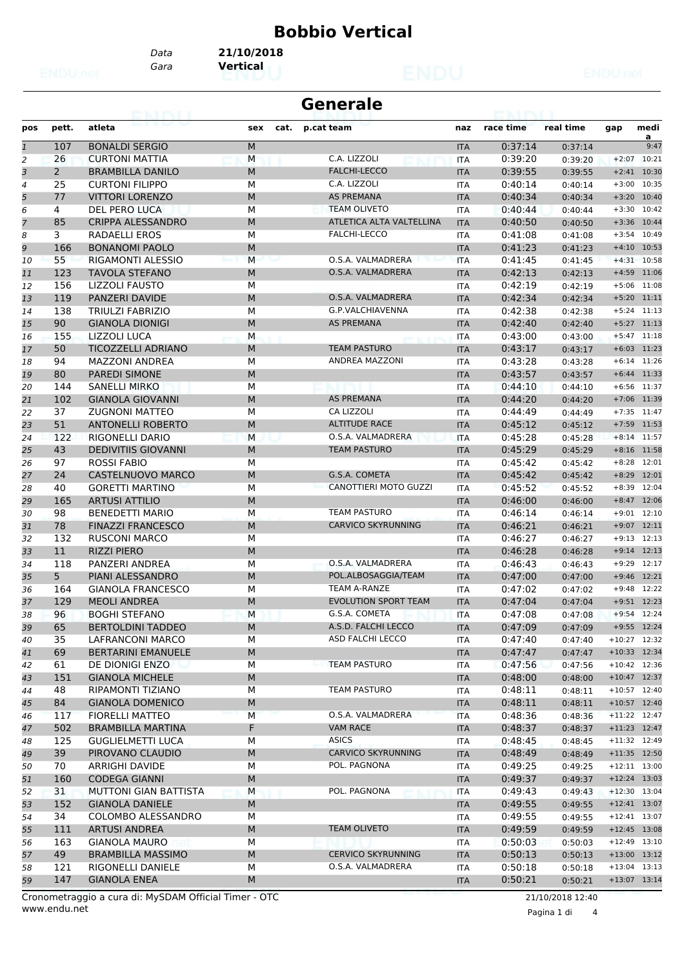## **Bobbio Vertical**

*Gara* **Vertical** *Data* **21/10/2018**

| <b>Generale</b> |                |                              |             |                             |            |           |           |         |                |
|-----------------|----------------|------------------------------|-------------|-----------------------------|------------|-----------|-----------|---------|----------------|
| pos             | pett.          | atleta                       | sex<br>cat. | p.cat team                  | naz        | race time | real time | gap     | medi           |
| $\mathbf{1}$    | 107            | <b>BONALDI SERGIO</b>        | ${\sf M}$   |                             | <b>ITA</b> | 0:37:14   | 0:37:14   |         | a<br>9:47      |
| $\overline{a}$  | 26             | <b>CURTONI MATTIA</b>        | M           | C.A. LIZZOLI                | <b>ITA</b> | 0:39:20   | 0:39:20   | $+2:07$ | 10:21          |
| 3               | $\overline{2}$ | <b>BRAMBILLA DANILO</b>      | M           | <b>FALCHI-LECCO</b>         | <b>ITA</b> | 0:39:55   | 0:39:55   | $+2:41$ | 10:30          |
| 4               | 25             | <b>CURTONI FILIPPO</b>       | M           | C.A. LIZZOLI                | <b>ITA</b> | 0:40:14   | 0:40:14   |         | $+3:00$ 10:35  |
| 5               | 77             | <b>VITTORI LORENZO</b>       | M           | <b>AS PREMANA</b>           | <b>ITA</b> | 0:40:34   | 0:40:34   | $+3:20$ | 10:40          |
| 6               | 4              | DEL PERO LUCA                | M           | <b>TEAM OLIVETO</b>         | <b>ITA</b> | 0:40:44   | 0:40:44   |         | $+3:30$ 10:42  |
| 7               | 85             | <b>CRIPPA ALESSANDRO</b>     | M           | ATLETICA ALTA VALTELLINA    | <b>ITA</b> | 0:40:50   | 0:40:50   |         | $+3:36$ 10:44  |
| 8               | 3              | RADAELLI EROS                | М           | <b>FALCHI-LECCO</b>         | ITA        | 0:41:08   | 0:41:08   | $+3:54$ | 10:49          |
| 9               | 166            | <b>BONANOMI PAOLO</b>        | M           |                             | <b>ITA</b> | 0:41:23   | 0:41:23   |         | $+4:10$ 10:53  |
| 10              | 55             | <b>RIGAMONTI ALESSIO</b>     | M           | O.S.A. VALMADRERA           | <b>ITA</b> | 0:41:45   | 0:41:45   |         | $+4:31$ 10:58  |
| 11              | 123            | <b>TAVOLA STEFANO</b>        | M           | O.S.A. VALMADRERA           | <b>ITA</b> | 0:42:13   | 0:42:13   |         | $+4:59$ 11:06  |
| 12              | 156            | LIZZOLI FAUSTO               | М           |                             | <b>ITA</b> | 0:42:19   | 0:42:19   |         | $+5:06$ 11:08  |
| 13              | 119            | PANZERI DAVIDE               | M           | O.S.A. VALMADRERA           | <b>ITA</b> | 0:42:34   | 0:42:34   |         | $+5:20$ 11:11  |
| 14              | 138            | <b>TRIULZI FABRIZIO</b>      | М           | G.P.VALCHIAVENNA            | <b>ITA</b> | 0:42:38   | 0:42:38   |         | $+5:24$ 11:13  |
| 15              | 90             | <b>GIANOLA DIONIGI</b>       | M           | <b>AS PREMANA</b>           | <b>ITA</b> | 0:42:40   | 0:42:40   |         | $+5:27$ 11:13  |
| 16              | 155            | <b>LIZZOLI LUCA</b>          | M           |                             | <b>ITA</b> | 0:43:00   | 0:43:00   |         | $+5:47$ 11:18  |
| 17              | 50             | <b>TICOZZELLI ADRIANO</b>    | M           | <b>TEAM PASTURO</b>         | <b>ITA</b> | 0:43:17   | 0:43:17   |         | $+6:03$ 11:23  |
| 18              | 94             | <b>MAZZONI ANDREA</b>        | M           | ANDREA MAZZONI              | <b>ITA</b> | 0:43:28   | 0:43:28   |         | $+6:14$ 11:26  |
| 19              | 80             | PAREDI SIMONE                | M           |                             | <b>ITA</b> | 0:43:57   | 0:43:57   |         | $+6:44$ 11:33  |
| 20              | 144            | <b>SANELLI MIRKO</b>         | M           |                             | <b>ITA</b> | 0:44:10   | 0:44:10   |         | $+6:56$ 11:37  |
| 21              | 102            | <b>GIANOLA GIOVANNI</b>      | M           | <b>AS PREMANA</b>           | <b>ITA</b> | 0:44:20   | 0:44:20   |         | $+7:06$ 11:39  |
| 22              | 37             | <b>ZUGNONI MATTEO</b>        | М           | CA LIZZOLI                  | <b>ITA</b> | 0:44:49   | 0:44:49   |         | $+7:35$ 11:47  |
| 23              | 51             | <b>ANTONELLI ROBERTO</b>     | M           | <b>ALTITUDE RACE</b>        | <b>ITA</b> | 0:45:12   | 0:45:12   |         | $+7:59$ 11:53  |
| 24              | 122            | RIGONELLI DARIO              | M           | O.S.A. VALMADRERA           | <b>ITA</b> | 0:45:28   | 0:45:28   |         | $+8:14$ 11:57  |
| 25              | 43             | <b>DEDIVITIIS GIOVANNI</b>   | M           | <b>TEAM PASTURO</b>         | <b>ITA</b> | 0:45:29   | 0:45:29   |         | $+8:16$ 11:58  |
| 26              | 97             | <b>ROSSI FABIO</b>           | М           |                             | <b>ITA</b> | 0:45:42   | 0:45:42   |         | $+8:28$ 12:01  |
| 27              | 24             | <b>CASTELNUOVO MARCO</b>     | M           | G.S.A. COMETA               | <b>ITA</b> | 0:45:42   | 0:45:42   | $+8:29$ | 12:01          |
| 28              | 40             | <b>GORETTI MARTINO</b>       | M           | CANOTTIERI MOTO GUZZI       | <b>ITA</b> | 0:45:52   | 0:45:52   |         | $+8:39$ 12:04  |
| 29              | 165            | <b>ARTUSI ATTILIO</b>        | M           |                             | <b>ITA</b> | 0:46:00   | 0:46:00   |         | $+8:47$ 12:06  |
| 30              | 98             | <b>BENEDETTI MARIO</b>       | M           | <b>TEAM PASTURO</b>         | <b>ITA</b> | 0:46:14   | 0:46:14   |         | $+9:01$ 12:10  |
| 31              | 78             | <b>FINAZZI FRANCESCO</b>     | M           | <b>CARVICO SKYRUNNING</b>   | <b>ITA</b> | 0:46:21   | 0:46:21   |         | $+9:07$ 12:11  |
| 32              | 132            | <b>RUSCONI MARCO</b>         | M           |                             | <b>ITA</b> | 0:46:27   | 0:46:27   |         | $+9:13$ 12:13  |
| 33              | 11             | <b>RIZZI PIERO</b>           | M           |                             | <b>ITA</b> | 0:46:28   | 0:46:28   |         | $+9:14$ 12:13  |
| 34              | 118            | PANZERI ANDREA               | M           | O.S.A. VALMADRERA           | <b>ITA</b> | 0:46:43   | 0:46:43   |         | $+9:29$ 12:17  |
| 35              | 5 <sup>1</sup> | PIANI ALESSANDRO             | M           | POL.ALBOSAGGIA/TEAM         | <b>ITA</b> | 0:47:00   | 0:47:00   |         | $+9:46$ 12:21  |
| 36              | 164            | <b>GIANOLA FRANCESCO</b>     | М           | TEAM A-RANZE                | <b>ITA</b> | 0:47:02   | 0:47:02   |         | $+9:48$ 12:22  |
| 37              | 129            | <b>MEOLI ANDREA</b>          | M           | <b>EVOLUTION SPORT TEAM</b> | <b>ITA</b> | 0:47:04   | 0:47:04   |         | $+9:51$ 12:23  |
| 38              | 96             | <b>BOGHI STEFANO</b>         | M           | G.S.A. COMETA               | <b>ITA</b> | 0:47:08   | 0:47:08   |         | $+9:54$ 12:24  |
| 39              | 65             | <b>BERTOLDINI TADDEO</b>     | M           | A.S.D. FALCHI LECCO         | <b>ITA</b> | 0:47:09   | 0:47:09   |         | $+9:55$ 12:24  |
| 40              | 35             | LAFRANCONI MARCO             | М           | ASD FALCHI LECCO            | ITA        | 0:47:40   | 0:47:40   |         | $+10:27$ 12:32 |
| 41              | 69             | <b>BERTARINI EMANUELE</b>    | ${\sf M}$   |                             | <b>ITA</b> | 0:47:47   | 0:47:47   |         | $+10:33$ 12:34 |
| 42              | 61             | DE DIONIGI ENZO              | М           | <b>TEAM PASTURO</b>         | ITA        | 0:47:56   | 0:47:56   |         | $+10:42$ 12:36 |
| 43              | 151            | <b>GIANOLA MICHELE</b>       | M           |                             | <b>ITA</b> | 0:48:00   | 0:48:00   |         | $+10:47$ 12:37 |
| 44              | 48             | RIPAMONTI TIZIANO            | М           | TEAM PASTURO                | ITA        | 0:48:11   | 0:48:11   |         | $+10:57$ 12:40 |
| 45              | 84             | <b>GIANOLA DOMENICO</b>      | ${\sf M}$   |                             | <b>ITA</b> | 0:48:11   | 0:48:11   |         | $+10:57$ 12:40 |
| 46              | 117            | <b>FIORELLI MATTEO</b>       | M           | O.S.A. VALMADRERA           | <b>ITA</b> | 0:48:36   | 0:48:36   |         | $+11:22$ 12:47 |
| 47              | 502            | <b>BRAMBILLA MARTINA</b>     | F           | <b>VAM RACE</b>             | <b>ITA</b> | 0:48:37   | 0:48:37   |         | $+11:23$ 12:47 |
| 48              | 125            | <b>GUGLIELMETTI LUCA</b>     | М           | <b>ASICS</b>                | ITA        | 0:48:45   | 0:48:45   |         | +11:32 12:49   |
| 49              | 39             | PIROVANO CLAUDIO             | M           | <b>CARVICO SKYRUNNING</b>   | <b>ITA</b> | 0:48:49   | 0:48:49   |         | +11:35 12:50   |
| 50              | 70             | ARRIGHI DAVIDE               | М           | POL. PAGNONA                | ITA        | 0:49:25   | 0:49:25   |         | $+12:11$ 13:00 |
| 51              | 160            | <b>CODEGA GIANNI</b>         | M           |                             | <b>ITA</b> | 0:49:37   | 0:49:37   |         | $+12:24$ 13:03 |
| 52              | 31             | <b>MUTTONI GIAN BATTISTA</b> | M           | POL. PAGNONA                | ITA        | 0:49:43   | 0:49:43   |         | $+12:30$ 13:04 |
| 53              | 152            | <b>GIANOLA DANIELE</b>       | M           |                             | <b>ITA</b> | 0:49:55   | 0:49:55   |         | +12:41 13:07   |
| 54              | 34             | COLOMBO ALESSANDRO           | М           |                             | ITA        | 0:49:55   | 0:49:55   |         | $+12:41$ 13:07 |
| 55              | 111            | <b>ARTUSI ANDREA</b>         | M           | TEAM OLIVETO                | <b>ITA</b> | 0:49:59   | 0:49:59   |         | $+12:45$ 13:08 |
| 56              | 163            | <b>GIANOLA MAURO</b>         | М           |                             | ITA        | 0:50:03   | 0:50:03   |         | $+12:49$ 13:10 |
| 57              | 49             | <b>BRAMBILLA MASSIMO</b>     | M           | <b>CERVICO SKYRUNNING</b>   | <b>ITA</b> | 0:50:13   | 0:50:13   |         | $+13:00$ 13:12 |
| 58              | 121            | RIGONELLI DANIELE            | М           | O.S.A. VALMADRERA           | ITA        | 0:50:18   | 0:50:18   |         | $+13:04$ 13:13 |
| 59              | 147            | <b>GIANOLA ENEA</b>          | M           |                             | <b>ITA</b> | 0:50:21   | 0:50:21   |         | +13:07 13:14   |
|                 |                |                              |             |                             |            |           |           |         |                |

www.endu.net Cronometraggio a cura di: MySDAM Official Timer - OTC 21/10/2018 12:40

Pagina 1 di 4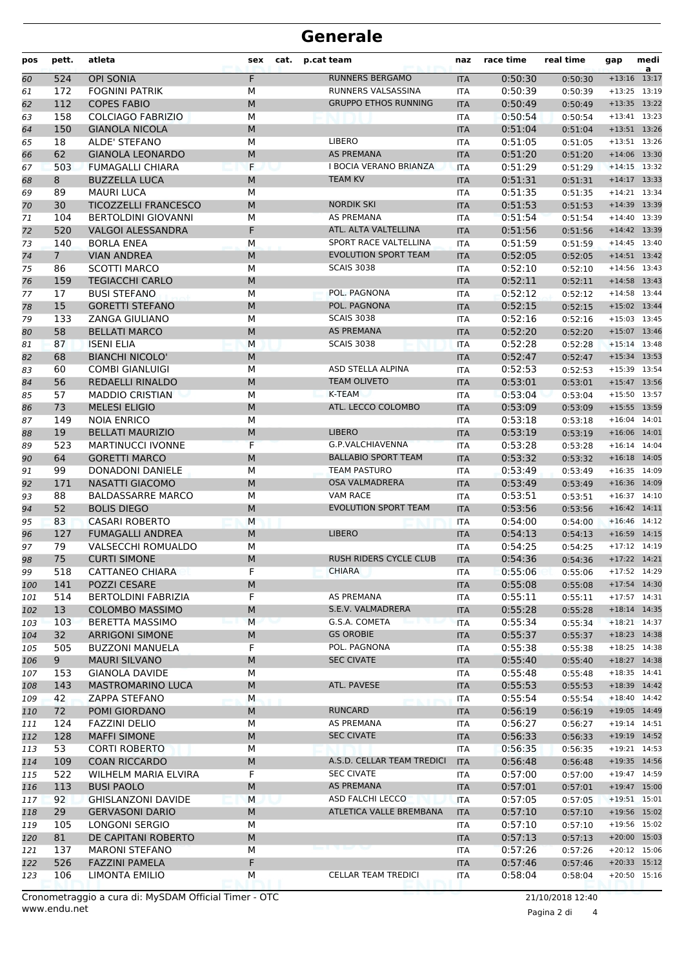## **Generale**

| pos | pett.           | atleta                      | sex       | cat. | p.cat team                  | naz        | race time | real time | gap            | medi<br>a      |
|-----|-----------------|-----------------------------|-----------|------|-----------------------------|------------|-----------|-----------|----------------|----------------|
| 60  | 524             | <b>OPI SONIA</b>            | F         |      | RUNNERS BERGAMO             | <b>ITA</b> | 0:50:30   | 0:50:30   | $+13:16$ 13:17 |                |
| 61  | 172             | <b>FOGNINI PATRIK</b>       | М         |      | RUNNERS VALSASSINA          | <b>ITA</b> | 0:50:39   | 0:50:39   | $+13:25$       | 13:19          |
| 62  | 112             | <b>COPES FABIO</b>          | M         |      | <b>GRUPPO ETHOS RUNNING</b> | <b>ITA</b> | 0:50:49   | 0:50:49   |                | $+13:35$ 13:22 |
| 63  | 158             | <b>COLCIAGO FABRIZIO</b>    | M         |      |                             | <b>ITA</b> | 0:50:54   | 0:50:54   |                | $+13:41$ 13:23 |
| 64  | 150             | <b>GIANOLA NICOLA</b>       | M         |      |                             | <b>ITA</b> | 0:51:04   | 0:51:04   |                | +13:51 13:26   |
| 65  | 18              | ALDE' STEFANO               | М         |      | LIBERO                      | <b>ITA</b> | 0:51:05   | 0:51:05   |                | $+13:51$ 13:26 |
| 66  | 62              | <b>GIANOLA LEONARDO</b>     | M         |      | <b>AS PREMANA</b>           | <b>ITA</b> | 0:51:20   | 0:51:20   |                | $+14:06$ 13:30 |
| 67  | 503             | <b>FUMAGALLI CHIARA</b>     | F         |      | I BOCIA VERANO BRIANZA      | <b>ITA</b> | 0:51:29   | 0:51:29   |                | $+14:15$ 13:32 |
| 68  | 8               | <b>BUZZELLA LUCA</b>        | M         |      | <b>TEAM KV</b>              | <b>ITA</b> | 0:51:31   | 0:51:31   | $+14:17$ 13:33 |                |
| 69  | 89              | <b>MAURI LUCA</b>           | M         |      |                             | <b>ITA</b> | 0:51:35   | 0:51:35   |                | $+14:21$ 13:34 |
| 70  | 30              | <b>TICOZZELLI FRANCESCO</b> | M         |      | <b>NORDIK SKI</b>           | <b>ITA</b> | 0:51:53   | 0:51:53   |                | +14:39 13:39   |
| 71  | 104             | <b>BERTOLDINI GIOVANNI</b>  | M         |      | <b>AS PREMANA</b>           | <b>ITA</b> | 0:51:54   | 0:51:54   |                | $+14:40$ 13:39 |
| 72  | 520             | <b>VALGOI ALESSANDRA</b>    | F         |      | ATL. ALTA VALTELLINA        | <b>ITA</b> | 0:51:56   | 0:51:56   |                | $+14:42$ 13:39 |
| 73  | 140             | <b>BORLA ENEA</b>           | M         |      | SPORT RACE VALTELLINA       | <b>ITA</b> | 0:51:59   | 0:51:59   |                | $+14:45$ 13:40 |
| 74  | $7\overline{ }$ | <b>VIAN ANDREA</b>          | M         |      | <b>EVOLUTION SPORT TEAM</b> | <b>ITA</b> | 0:52:05   | 0:52:05   | $+14:51$ 13:42 |                |
| 75  | 86              | <b>SCOTTI MARCO</b>         | M         |      | <b>SCAIS 3038</b>           | <b>ITA</b> | 0:52:10   | 0:52:10   |                | $+14:56$ 13:43 |
| 76  | 159             | <b>TEGIACCHI CARLO</b>      | M         |      |                             | <b>ITA</b> | 0:52:11   | 0:52:11   | $+14:58$ 13:43 |                |
| 77  | 17              | <b>BUSI STEFANO</b>         | М         |      | POL. PAGNONA                | <b>ITA</b> | 0:52:12   | 0:52:12   | $+14:58$ 13:44 |                |
| 78  | 15              | <b>GORETTI STEFANO</b>      | M         |      | POL. PAGNONA                | <b>ITA</b> | 0:52:15   | 0:52:15   | $+15:02$ 13:44 |                |
| 79  | 133             | <b>ZANGA GIULIANO</b>       | М         |      | <b>SCAIS 3038</b>           | <b>ITA</b> | 0:52:16   | 0:52:16   |                | $+15:03$ 13:45 |
| 80  | 58              | <b>BELLATI MARCO</b>        | M         |      | <b>AS PREMANA</b>           | <b>ITA</b> | 0:52:20   | 0:52:20   | $+15:07$       | 13:46          |
| 81  | 87              | <b>ISENI ELIA</b>           | M         |      | <b>SCAIS 3038</b>           | <b>ITA</b> | 0:52:28   | 0:52:28   |                | $+15:14$ 13:48 |
| 82  | 68              | <b>BIANCHI NICOLO'</b>      | M         |      |                             | <b>ITA</b> | 0:52:47   | 0:52:47   | $+15:34$ 13:53 |                |
| 83  | 60              | <b>COMBI GIANLUIGI</b>      | М         |      | ASD STELLA ALPINA           | <b>ITA</b> | 0:52:53   | 0:52:53   | +15:39 13:54   |                |
| 84  | 56              | <b>REDAELLI RINALDO</b>     | M         |      | <b>TEAM OLIVETO</b>         | <b>ITA</b> | 0:53:01   | 0:53:01   |                | $+15:47$ 13:56 |
| 85  | 57              | <b>MADDIO CRISTIAN</b>      | М         |      | <b>K-TEAM</b>               | <b>ITA</b> | 0:53:04   | 0:53:04   |                | +15:50 13:57   |
| 86  | 73              | <b>MELESI ELIGIO</b>        | M         |      | ATL. LECCO COLOMBO          | <b>ITA</b> | 0:53:09   | 0:53:09   | $+15:55$ 13:59 |                |
| 87  | 149             | <b>NOIA ENRICO</b>          | M         |      |                             | <b>ITA</b> | 0:53:18   | 0:53:18   | $+16:04$ 14:01 |                |
| 88  | 19              | <b>BELLATI MAURIZIO</b>     | M         |      | <b>LIBERO</b>               | <b>ITA</b> | 0:53:19   | 0:53:19   | $+16:06$ 14:01 |                |
| 89  | 523             | <b>MARTINUCCI IVONNE</b>    | F         |      | G.P.VALCHIAVENNA            | <b>ITA</b> | 0:53:28   | 0:53:28   | $+16:14$ 14:04 |                |
| 90  | 64              | <b>GORETTI MARCO</b>        | M         |      | <b>BALLABIO SPORT TEAM</b>  | <b>ITA</b> | 0:53:32   | 0:53:32   |                | $+16:18$ 14:05 |
| 91  | 99              | <b>DONADONI DANIELE</b>     | М         |      | <b>TEAM PASTURO</b>         | <b>ITA</b> | 0:53:49   | 0:53:49   | $+16:35$       | 14:09          |
| 92  | 171             | <b>NASATTI GIACOMO</b>      | ${\sf M}$ |      | <b>OSA VALMADRERA</b>       | <b>ITA</b> | 0:53:49   | 0:53:49   | $+16:36$       | 14:09          |
| 93  | 88              | <b>BALDASSARRE MARCO</b>    | M         |      | <b>VAM RACE</b>             | <b>ITA</b> | 0:53:51   | 0:53:51   |                | $+16:37$ 14:10 |
| 94  | 52              | <b>BOLIS DIEGO</b>          | M         |      | <b>EVOLUTION SPORT TEAM</b> | <b>ITA</b> | 0:53:56   | 0:53:56   | $+16:42$ 14:11 |                |
| 95  | 83              | <b>CASARI ROBERTO</b>       | М         |      |                             | <b>ITA</b> | 0:54:00   | 0:54:00   | $+16:46$ 14:12 |                |
| 96  | 127             | <b>FUMAGALLI ANDREA</b>     | M         |      | <b>LIBERO</b>               | <b>ITA</b> | 0:54:13   | 0:54:13   |                | $+16:59$ 14:15 |
| 97  | 79              | VALSECCHI ROMUALDO          | M         |      |                             | ITA        | 0:54:25   | 0:54:25   |                | $+17:12$ 14:19 |
| 98  | 75              | <b>CURTI SIMONE</b>         | M         |      | RUSH RIDERS CYCLE CLUB      | <b>ITA</b> | 0:54:36   | 0:54:36   | $+17:22$ 14:21 |                |
| 99  | 518             | <b>CATTANEO CHIARA</b>      | F         |      | CHIARA                      | ITA        | 0:55:06   | 0:55:06   |                | $+17:52$ 14:29 |
| 100 | 141             | POZZI CESARE                | M         |      |                             | <b>ITA</b> | 0:55:08   | 0:55:08   |                | $+17:54$ 14:30 |
| 101 | 514             | <b>BERTOLDINI FABRIZIA</b>  | F         |      | AS PREMANA                  | ITA        | 0:55:11   | 0:55:11   |                | $+17:57$ 14:31 |
| 102 | 13              | <b>COLOMBO MASSIMO</b>      | M         |      | S.E.V. VALMADRERA           | <b>ITA</b> | 0:55:28   | 0:55:28   |                | $+18:14$ 14:35 |
| 103 | 103             | <b>BERETTA MASSIMO</b>      | М         |      | G.S.A. COMETA               | <b>ITA</b> | 0:55:34   | 0:55:34   |                | $+18:21$ 14:37 |
| 104 | 32              | <b>ARRIGONI SIMONE</b>      | M         |      | <b>GS OROBIE</b>            | <b>ITA</b> | 0:55:37   | 0:55:37   |                | $+18:23$ 14:38 |
| 105 | 505             | <b>BUZZONI MANUELA</b>      | F         |      | POL. PAGNONA                | ITA        | 0:55:38   | 0:55:38   |                | $+18:25$ 14:38 |
| 106 | 9 <sup>°</sup>  | <b>MAURI SILVANO</b>        | M         |      | <b>SEC CIVATE</b>           | <b>ITA</b> | 0:55:40   | 0:55:40   |                | $+18:27$ 14:38 |
| 107 | 153             | <b>GIANOLA DAVIDE</b>       | М         |      |                             | ITA        | 0:55:48   | 0:55:48   |                | $+18:35$ 14:41 |
| 108 | 143             | <b>MASTROMARINO LUCA</b>    | M         |      | ATL. PAVESE                 | <b>ITA</b> | 0:55:53   | 0:55:53   |                | $+18:39$ 14:42 |
| 109 | 42              | <b>ZAPPA STEFANO</b>        | M         |      |                             | <b>ITA</b> | 0:55:54   | 0:55:54   |                | $+18:40$ 14:42 |
| 110 | 72              | POMI GIORDANO               | M         |      | <b>RUNCARD</b>              | <b>ITA</b> | 0:56:19   | 0:56:19   |                | $+19:05$ 14:49 |
| 111 | 124             | <b>FAZZINI DELIO</b>        | М         |      | AS PREMANA                  | ITA        | 0:56:27   | 0:56:27   |                | $+19:14$ 14:51 |
| 112 | 128             | <b>MAFFI SIMONE</b>         | M         |      | <b>SEC CIVATE</b>           | <b>ITA</b> | 0:56:33   | 0:56:33   |                | $+19:19$ 14:52 |
| 113 | 53              | <b>CORTI ROBERTO</b>        | М         |      |                             | ITA        | 0:56:35   | 0:56:35   |                | $+19:21$ 14:53 |
| 114 | 109             | <b>COAN RICCARDO</b>        | M         |      | A.S.D. CELLAR TEAM TREDICI  | <b>ITA</b> | 0:56:48   | 0:56:48   |                | $+19:35$ 14:56 |
| 115 | 522             | WILHELM MARIA ELVIRA        | F         |      | <b>SEC CIVATE</b>           | <b>ITA</b> | 0:57:00   | 0:57:00   |                | $+19:47$ 14:59 |
| 116 | 113             | <b>BUSI PAOLO</b>           | M         |      | AS PREMANA                  | <b>ITA</b> | 0:57:01   | 0:57:01   |                | $+19:47$ 15:00 |
| 117 | 92              | <b>GHISLANZONI DAVIDE</b>   | M         |      | ASD FALCHI LECCO            | ITA        | 0:57:05   | 0:57:05   |                | $+19:51$ 15:01 |
| 118 | 29              | <b>GERVASONI DARIO</b>      | M         |      | ATLETICA VALLE BREMBANA     | <b>ITA</b> | 0:57:10   | 0:57:10   |                | $+19:56$ 15:02 |
| 119 | 105             | LONGONI SERGIO              | М         |      |                             | ITA        | 0:57:10   | 0:57:10   |                | $+19:56$ 15:02 |
| 120 | 81              | DE CAPITANI ROBERTO         | M         |      |                             | <b>ITA</b> | 0:57:13   | 0:57:13   |                | $+20:00$ 15:03 |
| 121 | 137             | <b>MARONI STEFANO</b>       | М         |      |                             | <b>ITA</b> | 0:57:26   | 0:57:26   |                | $+20:12$ 15:06 |
| 122 | 526             | <b>FAZZINI PAMELA</b>       | F         |      |                             | <b>ITA</b> | 0:57:46   | 0:57:46   |                | $+20:33$ 15:12 |
| 123 | 106             | LIMONTA EMILIO              | М         |      | CELLAR TEAM TREDICI         | ITA        | 0:58:04   | 0:58:04   |                | $+20:50$ 15:16 |
|     |                 |                             |           |      |                             |            |           |           |                |                |

www.endu.net Cronometraggio a cura di: MySDAM Official Timer - OTC 21/10/2018 12:40

Pagina 2 di 4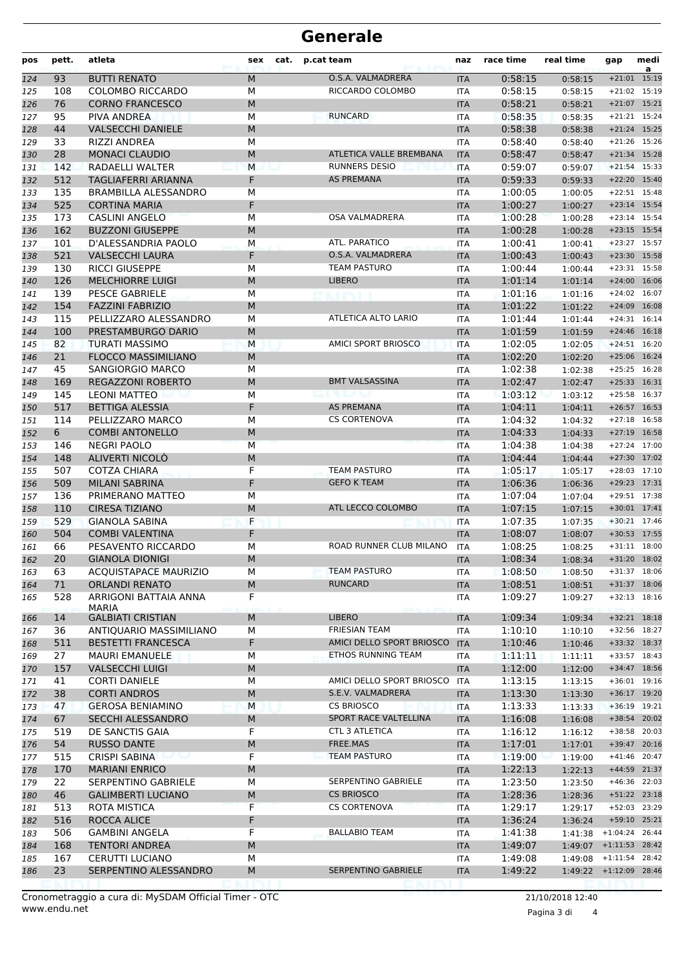## **Generale**

| pos        | pett.      | atleta                                              | sex       | cat. | p.cat team                 | naz                      | race time          | real time          | gap                            | medi<br>a    |
|------------|------------|-----------------------------------------------------|-----------|------|----------------------------|--------------------------|--------------------|--------------------|--------------------------------|--------------|
| 124        | 93         | <b>BUTTI RENATO</b>                                 | M         |      | O.S.A. VALMADRERA          | <b>ITA</b>               | 0:58:15            | 0:58:15            | $+21:01$                       | 15:19        |
| 125        | 108        | <b>COLOMBO RICCARDO</b>                             | М         |      | RICCARDO COLOMBO           | <b>ITA</b>               | 0:58:15            | 0:58:15            | +21:02 15:19                   |              |
| 126        | 76         | <b>CORNO FRANCESCO</b>                              | M         |      |                            | <b>ITA</b>               | 0:58:21            | 0:58:21            | $+21:07$ 15:21                 |              |
| 127        | 95         | PIVA ANDREA                                         | М         |      | <b>RUNCARD</b>             | ITA                      | 0:58:35            | 0:58:35            | $+21:21$ 15:24                 |              |
| 128        | 44         | <b>VALSECCHI DANIELE</b>                            | M         |      |                            | <b>ITA</b>               | 0:58:38            | 0:58:38            | $+21:24$ 15:25                 |              |
| 129        | 33         | RIZZI ANDREA                                        | М         |      |                            | <b>ITA</b>               | 0:58:40            | 0:58:40            | $+21:26$ 15:26                 |              |
| 130        | 28         | <b>MONACI CLAUDIO</b>                               | M         |      | ATLETICA VALLE BREMBANA    | <b>ITA</b>               | 0:58:47            | 0:58:47            | $+21:34$ 15:28                 |              |
| 131        | 142        | RADAELLI WALTER                                     | M         |      | <b>RUNNERS DESIO</b>       | <b>ITA</b>               | 0:59:07            | 0:59:07            | $+21:54$ 15:33                 |              |
| 132        | 512        | TAGLIAFERRI ARIANNA                                 | F         |      | <b>AS PREMANA</b>          | <b>ITA</b>               | 0:59:33            | 0:59:33            | +22:20 15:40                   |              |
| 133        | 135        | BRAMBILLA ALESSANDRO                                | М         |      |                            | ITA                      | 1:00:05            | 1:00:05            | +22:51 15:48                   |              |
| 134        | 525        | <b>CORTINA MARIA</b>                                | F         |      |                            | <b>ITA</b>               | 1:00:27            | 1:00:27            | +23:14 15:54                   |              |
| 135        | 173        | <b>CASLINI ANGELO</b>                               | М         |      | <b>OSA VALMADRERA</b>      | <b>ITA</b>               | 1:00:28            | 1:00:28            | +23:14 15:54                   |              |
| 136        | 162        | <b>BUZZONI GIUSEPPE</b>                             | M         |      |                            | <b>ITA</b>               | 1:00:28            | 1:00:28            | +23:15 15:54                   |              |
| 137        | 101        | D'ALESSANDRIA PAOLO                                 | M         |      | ATL. PARATICO              | <b>ITA</b>               | 1:00:41            | 1:00:41            | +23:27 15:57                   |              |
| 138        | 521        | <b>VALSECCHI LAURA</b>                              | F         |      | O.S.A. VALMADRERA          | <b>ITA</b>               | 1:00:43            | 1:00:43            | +23:30 15:58                   |              |
| 139        | 130        | <b>RICCI GIUSEPPE</b>                               | М         |      | <b>TEAM PASTURO</b>        | ITA                      | 1:00:44            | 1:00:44            | +23:31 15:58                   |              |
| 140        | 126        | <b>MELCHIORRE LUIGI</b>                             | M         |      | <b>LIBERO</b>              | <b>ITA</b>               | 1:01:14            | 1:01:14            | +24:00 16:06<br>$+24:02$ 16:07 |              |
| 141        | 139        | <b>PESCE GABRIELE</b>                               | M         |      |                            | ITA                      | 1:01:16            | 1:01:16            |                                | 16:08        |
| 142        | 154        | <b>FAZZINI FABRIZIO</b>                             | M<br>М    |      | ATLETICA ALTO LARIO        | <b>ITA</b>               | 1:01:22            | 1:01:22            | $+24:09$<br>$+24:31$ 16:14     |              |
| 143        | 115<br>100 | PELLIZZARO ALESSANDRO<br>PRESTAMBURGO DARIO         | M         |      |                            | <b>ITA</b>               | 1:01:44<br>1:01:59 | 1:01:44            | $+24:46$ 16:18                 |              |
| 144        | 82         | <b>TURATI MASSIMO</b>                               | М         |      | <b>AMICI SPORT BRIOSCO</b> | <b>ITA</b><br><b>ITA</b> | 1:02:05            | 1:01:59            | $+24:51$ 16:20                 |              |
| 145        | 21         | <b>FLOCCO MASSIMILIANO</b>                          | M         |      |                            | <b>ITA</b>               | 1:02:20            | 1:02:05            | +25:06 16:24                   |              |
| 146<br>147 | 45         | SANGIORGIO MARCO                                    | М         |      |                            | ITA                      | 1:02:38            | 1:02:20            | $+25:25$                       | 16:28        |
| 148        | 169        | <b>REGAZZONI ROBERTO</b>                            | M         |      | <b>BMT VALSASSINA</b>      | <b>ITA</b>               | 1:02:47            | 1:02:38<br>1:02:47 | $+25:33$                       | 16:31        |
| 149        | 145        | LEONI MATTEO                                        | М         |      |                            | <b>ITA</b>               | 1:03:12            | 1:03:12            | $+25:58$                       | 16:37        |
| 150        | 517        | <b>BETTIGA ALESSIA</b>                              | F         |      | <b>AS PREMANA</b>          | <b>ITA</b>               | 1:04:11            | 1:04:11            | $+26:57$                       | 16:53        |
| 151        | 114        | PELLIZZARO MARCO                                    | М         |      | <b>CS CORTENOVA</b>        | ITA                      | 1:04:32            | 1:04:32            | $+27:18$ 16:58                 |              |
| 152        | 6          | <b>COMBI ANTONELLO</b>                              | M         |      |                            | <b>ITA</b>               | 1:04:33            | 1:04:33            | $+27:19$ 16:58                 |              |
| 153        | 146        | <b>NEGRI PAOLO</b>                                  | М         |      |                            | <b>ITA</b>               | 1:04:38            | 1:04:38            | +27:24 17:00                   |              |
| 154        | 148        | ALIVERTI NICOLO                                     | M         |      |                            | <b>ITA</b>               | 1:04:44            | 1:04:44            | +27:30 17:02                   |              |
| 155        | 507        | <b>COTZA CHIARA</b>                                 | F         |      | <b>TEAM PASTURO</b>        | <b>ITA</b>               | 1:05:17            | 1:05:17            | $+28:03$ 17:10                 |              |
| 156        | 509        | <b>MILANI SABRINA</b>                               | F         |      | <b>GEFO K TEAM</b>         | <b>ITA</b>               | 1:06:36            | 1:06:36            | +29:23 17:31                   |              |
| 157        | 136        | PRIMERANO MATTEO                                    | М         |      |                            | ITA                      | 1:07:04            | 1:07:04            | +29:51 17:38                   |              |
| 158        | 110        | <b>CIRESA TIZIANO</b>                               | M         |      | ATL LECCO COLOMBO          | <b>ITA</b>               | 1:07:15            | 1:07:15            | $+30:01$ 17:41                 |              |
| 159        | 529        | <b>GIANOLA SABINA</b>                               | F         |      |                            | <b>ITA</b>               | 1:07:35            | 1:07:35            | $+30:21$ 17:46                 |              |
| 160        | 504        | <b>COMBI VALENTINA</b>                              | F         |      |                            | <b>ITA</b>               | 1:08:07            | 1:08:07            | $+30:53$ 17:55                 |              |
| 161        | 66         | PESAVENTO RICCARDO                                  | М         |      | ROAD RUNNER CLUB MILANO    | <b>ITA</b>               | 1:08:25            | 1:08:25            | $+31:11$                       | 18:00        |
| 162        | 20         | <b>GIANOLA DIONIGI</b>                              | M         |      |                            | <b>ITA</b>               | 1:08:34            | 1:08:34            | +31:20 18:02                   |              |
| 163        | 63         | <b>ACQUISTAPACE MAURIZIO</b>                        | М         |      | <b>TEAM PASTURO</b>        | ITA                      | 1:08:50            | 1:08:50            | +31:37 18:06                   |              |
| 164        | 71         | <b>ORLANDI RENATO</b>                               | M         |      | <b>RUNCARD</b>             | <b>ITA</b>               | 1:08:51            | 1:08:51            | +31:37 18:06                   |              |
| 165        | 528        | ARRIGONI BATTAIA ANNA                               | F         |      |                            | ITA                      | 1:09:27            | 1:09:27            | $+32:13$ 18:16                 |              |
|            |            | <b>MARIA</b>                                        |           |      | <b>LIBERO</b>              |                          |                    |                    |                                |              |
| 166        | 14<br>36   | <b>GALBIATI CRISTIAN</b><br>ANTIQUARIO MASSIMILIANO | M<br>M    |      | <b>FRIESIAN TEAM</b>       | <b>ITA</b><br><b>ITA</b> | 1:09:34<br>1:10:10 | 1:09:34            | $+32:21$ 18:18                 | +32:56 18:27 |
| 167<br>168 | 511        | <b>BESTETTI FRANCESCA</b>                           | F         |      | AMICI DELLO SPORT BRIOSCO  | <b>ITA</b>               | 1:10:46            | 1:10:10<br>1:10:46 | +33:32 18:37                   |              |
| 169        | 27         | <b>MAURI EMANUELE</b>                               | М         |      | ETHOS RUNNING TEAM         | ITA                      | 1:11:11            | 1:11:11            | +33:57 18:43                   |              |
| 170        | 157        | <b>VALSECCHI LUIGI</b>                              | M         |      |                            | <b>ITA</b>               | 1:12:00            | 1:12:00            | +34:47 18:56                   |              |
| 171        | 41         | <b>CORTI DANIELE</b>                                | М         |      | AMICI DELLO SPORT BRIOSCO  | <b>ITA</b>               | 1:13:15            | 1:13:15            | +36:01 19:16                   |              |
| 172        | 38         | <b>CORTI ANDROS</b>                                 | M         |      | S.E.V. VALMADRERA          | <b>ITA</b>               | 1:13:30            | 1:13:30            | +36:17 19:20                   |              |
| 173        | 47         | <b>GEROSA BENIAMINO</b>                             | M         |      | <b>CS BRIOSCO</b>          | ITA                      | 1:13:33            | 1:13:33            | +36:19 19:21                   |              |
| 174        | 67         | SECCHI ALESSANDRO                                   | М         |      | SPORT RACE VALTELLINA      | <b>ITA</b>               | 1:16:08            | 1:16:08            | +38:54 20:02                   |              |
| 175        | 519        | DE SANCTIS GAIA                                     | F         |      | <b>CTL 3 ATLETICA</b>      | ITA                      | 1:16:12            | 1:16:12            | +38:58 20:03                   |              |
| 176        | 54         | <b>RUSSO DANTE</b>                                  | M         |      | FREE.MAS                   | <b>ITA</b>               | 1:17:01            | 1:17:01            | +39:47 20:16                   |              |
| 177        | 515        | <b>CRISPI SABINA</b>                                | F         |      | <b>TEAM PASTURO</b>        | ITA                      | 1:19:00            | 1:19:00            | +41:46 20:47                   |              |
| 178        | 170        | <b>MARIANI ENRICO</b>                               | ${\sf M}$ |      |                            | <b>ITA</b>               | 1:22:13            | 1:22:13            | +44:59 21:37                   |              |
| 179        | 22         | SERPENTINO GABRIELE                                 | М         |      | SERPENTINO GABRIELE        | <b>ITA</b>               | 1:23:50            | 1:23:50            | +46:36 22:03                   |              |
| 180        | 46         | <b>GALIMBERTI LUCIANO</b>                           | M         |      | <b>CS BRIOSCO</b>          | <b>ITA</b>               | 1:28:36            | 1:28:36            | +51:22 23:18                   |              |
| 181        | 513        | ROTA MISTICA                                        | F         |      | <b>CS CORTENOVA</b>        | ITA                      | 1:29:17            | 1:29:17            | +52:03 23:29                   |              |
| 182        | 516        | ROCCA ALICE                                         | F         |      |                            | <b>ITA</b>               | 1:36:24            | 1:36:24            | +59:10 25:21                   |              |
| 183        | 506        | <b>GAMBINI ANGELA</b>                               | F         |      | <b>BALLABIO TEAM</b>       | ITA                      | 1:41:38            | 1:41:38            | $+1:04:24$ 26:44               |              |
| 184        | 168        | <b>TENTORI ANDREA</b>                               | M         |      |                            | <b>ITA</b>               | 1:49:07            |                    | 1:49:07 +1:11:53 28:42         |              |
| 185        | 167        | <b>CERUTTI LUCIANO</b>                              | М         |      |                            | ITA                      | 1:49:08            |                    | 1:49:08 +1:11:54 28:42         |              |
| 186        | 23         | SERPENTINO ALESSANDRO                               | М         |      | SERPENTINO GABRIELE        | <b>ITA</b>               | 1:49:22            |                    | 1:49:22 +1:12:09 28:46         |              |
|            |            |                                                     |           |      |                            |                          |                    |                    |                                |              |

Pagina 3 di 4